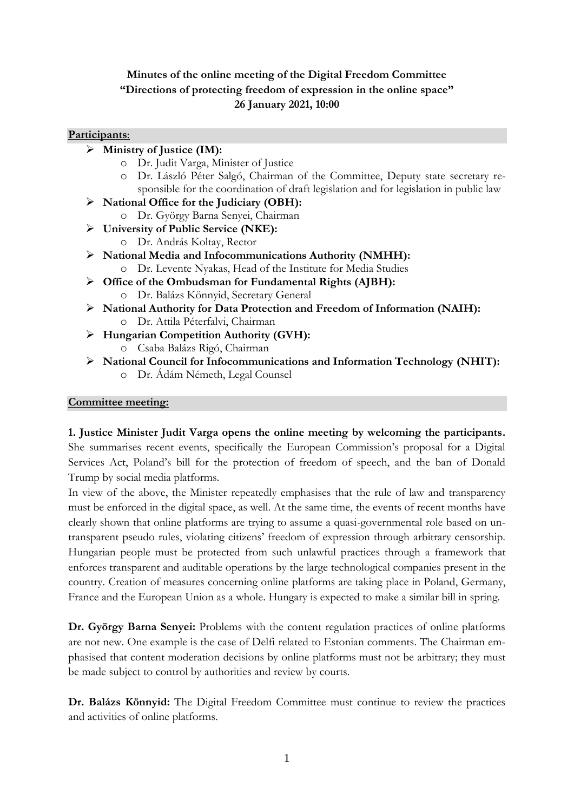## **Minutes of the online meeting of the Digital Freedom Committee "Directions of protecting freedom of expression in the online space" 26 January 2021, 10:00**

## **Participants**:

- **Ministry of Justice (IM):**
	- o Dr. Judit Varga, Minister of Justice
	- o Dr. László Péter Salgó, Chairman of the Committee, Deputy state secretary responsible for the coordination of draft legislation and for legislation in public law
- **National Office for the Judiciary (OBH):**
	- o Dr. György Barna Senyei, Chairman
- **University of Public Service (NKE):**
	- o Dr. András Koltay, Rector
- **National Media and Infocommunications Authority (NMHH):** o Dr. Levente Nyakas, Head of the Institute for Media Studies
- **Office of the Ombudsman for Fundamental Rights (AJBH):**
	- o Dr. Balázs Könnyid, Secretary General
- **National Authority for Data Protection and Freedom of Information (NAIH):** o Dr. Attila Péterfalvi, Chairman
- **Hungarian Competition Authority (GVH):**
	- o Csaba Balázs Rigó, Chairman
- **National Council for Infocommunications and Information Technology (NHIT):** o Dr. Ádám Németh, Legal Counsel

## **Committee meeting:**

**1. Justice Minister Judit Varga opens the online meeting by welcoming the participants.**  She summarises recent events, specifically the European Commission's proposal for a Digital Services Act, Poland's bill for the protection of freedom of speech, and the ban of Donald Trump by social media platforms.

In view of the above, the Minister repeatedly emphasises that the rule of law and transparency must be enforced in the digital space, as well. At the same time, the events of recent months have clearly shown that online platforms are trying to assume a quasi-governmental role based on untransparent pseudo rules, violating citizens' freedom of expression through arbitrary censorship. Hungarian people must be protected from such unlawful practices through a framework that enforces transparent and auditable operations by the large technological companies present in the country. Creation of measures concerning online platforms are taking place in Poland, Germany, France and the European Union as a whole. Hungary is expected to make a similar bill in spring.

**Dr. György Barna Senyei:** Problems with the content regulation practices of online platforms are not new. One example is the case of Delfi related to Estonian comments. The Chairman emphasised that content moderation decisions by online platforms must not be arbitrary; they must be made subject to control by authorities and review by courts.

**Dr. Balázs Könnyid:** The Digital Freedom Committee must continue to review the practices and activities of online platforms.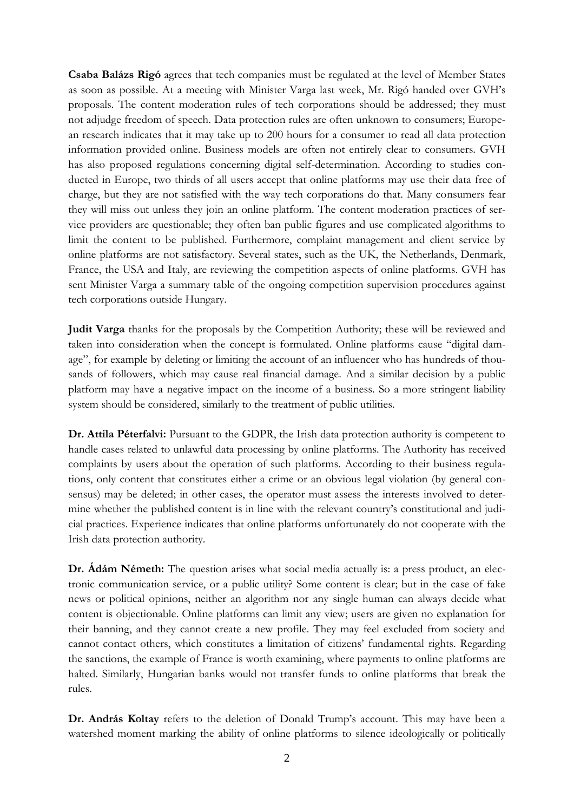**Csaba Balázs Rigó** agrees that tech companies must be regulated at the level of Member States as soon as possible. At a meeting with Minister Varga last week, Mr. Rigó handed over GVH's proposals. The content moderation rules of tech corporations should be addressed; they must not adjudge freedom of speech. Data protection rules are often unknown to consumers; European research indicates that it may take up to 200 hours for a consumer to read all data protection information provided online. Business models are often not entirely clear to consumers. GVH has also proposed regulations concerning digital self-determination. According to studies conducted in Europe, two thirds of all users accept that online platforms may use their data free of charge, but they are not satisfied with the way tech corporations do that. Many consumers fear they will miss out unless they join an online platform. The content moderation practices of service providers are questionable; they often ban public figures and use complicated algorithms to limit the content to be published. Furthermore, complaint management and client service by online platforms are not satisfactory. Several states, such as the UK, the Netherlands, Denmark, France, the USA and Italy, are reviewing the competition aspects of online platforms. GVH has sent Minister Varga a summary table of the ongoing competition supervision procedures against tech corporations outside Hungary.

**Judit Varga** thanks for the proposals by the Competition Authority; these will be reviewed and taken into consideration when the concept is formulated. Online platforms cause "digital damage", for example by deleting or limiting the account of an influencer who has hundreds of thousands of followers, which may cause real financial damage. And a similar decision by a public platform may have a negative impact on the income of a business. So a more stringent liability system should be considered, similarly to the treatment of public utilities.

**Dr. Attila Péterfalvi:** Pursuant to the GDPR, the Irish data protection authority is competent to handle cases related to unlawful data processing by online platforms. The Authority has received complaints by users about the operation of such platforms. According to their business regulations, only content that constitutes either a crime or an obvious legal violation (by general consensus) may be deleted; in other cases, the operator must assess the interests involved to determine whether the published content is in line with the relevant country's constitutional and judicial practices. Experience indicates that online platforms unfortunately do not cooperate with the Irish data protection authority.

**Dr. Ádám Németh:** The question arises what social media actually is: a press product, an electronic communication service, or a public utility? Some content is clear; but in the case of fake news or political opinions, neither an algorithm nor any single human can always decide what content is objectionable. Online platforms can limit any view; users are given no explanation for their banning, and they cannot create a new profile. They may feel excluded from society and cannot contact others, which constitutes a limitation of citizens' fundamental rights. Regarding the sanctions, the example of France is worth examining, where payments to online platforms are halted. Similarly, Hungarian banks would not transfer funds to online platforms that break the rules.

**Dr. András Koltay** refers to the deletion of Donald Trump's account. This may have been a watershed moment marking the ability of online platforms to silence ideologically or politically